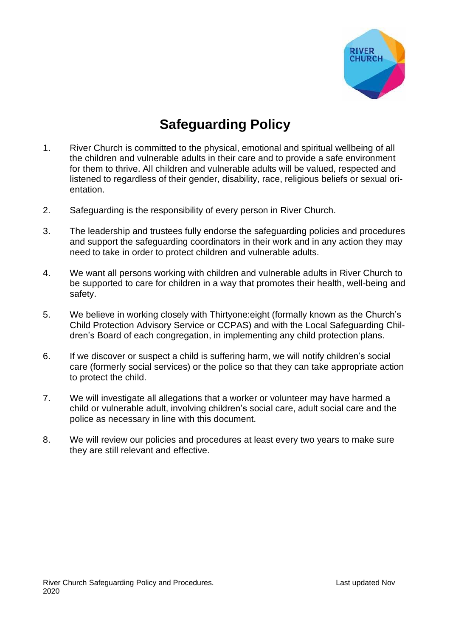

# **Safeguarding Policy**

- 1. River Church is committed to the physical, emotional and spiritual wellbeing of all the children and vulnerable adults in their care and to provide a safe environment for them to thrive. All children and vulnerable adults will be valued, respected and listened to regardless of their gender, disability, race, religious beliefs or sexual orientation.
- 2. Safeguarding is the responsibility of every person in River Church.
- 3. The leadership and trustees fully endorse the safeguarding policies and procedures and support the safeguarding coordinators in their work and in any action they may need to take in order to protect children and vulnerable adults.
- 4. We want all persons working with children and vulnerable adults in River Church to be supported to care for children in a way that promotes their health, well-being and safety.
- 5. We believe in working closely with Thirtyone:eight (formally known as the Church's Child Protection Advisory Service or CCPAS) and with the Local Safeguarding Children's Board of each congregation, in implementing any child protection plans.
- 6. If we discover or suspect a child is suffering harm, we will notify children's social care (formerly social services) or the police so that they can take appropriate action to protect the child.
- 7. We will investigate all allegations that a worker or volunteer may have harmed a child or vulnerable adult, involving children's social care, adult social care and the police as necessary in line with this document.
- 8. We will review our policies and procedures at least every two years to make sure they are still relevant and effective.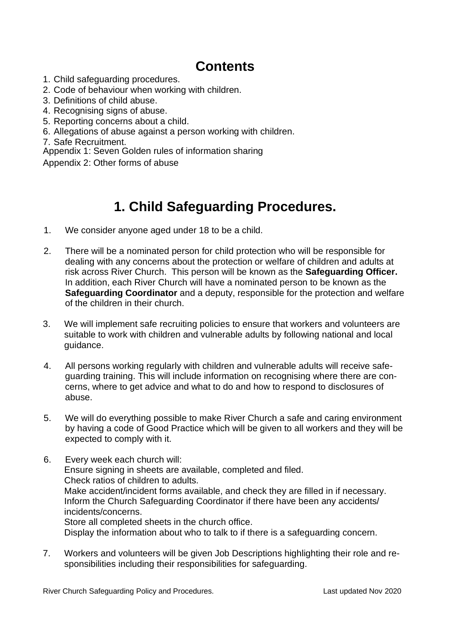# **Contents**

- 1. Child safeguarding procedures.
- 2. Code of behaviour when working with children.
- 3. Definitions of child abuse.
- 4. Recognising signs of abuse.
- 5. Reporting concerns about a child.
- 6. Allegations of abuse against a person working with children.
- 7. Safe Recruitment.

Appendix 1: Seven Golden rules of information sharing

Appendix 2: Other forms of abuse

# **1. Child Safeguarding Procedures.**

- 1. We consider anyone aged under 18 to be a child.
- 2. There will be a nominated person for child protection who will be responsible for dealing with any concerns about the protection or welfare of children and adults at risk across River Church. This person will be known as the **Safeguarding Officer.** In addition, each River Church will have a nominated person to be known as the **Safeguarding Coordinator** and a deputy, responsible for the protection and welfare of the children in their church.
- 3. We will implement safe recruiting policies to ensure that workers and volunteers are suitable to work with children and vulnerable adults by following national and local guidance.
- 4. All persons working regularly with children and vulnerable adults will receive safeguarding training. This will include information on recognising where there are concerns, where to get advice and what to do and how to respond to disclosures of abuse.
- 5. We will do everything possible to make River Church a safe and caring environment by having a code of Good Practice which will be given to all workers and they will be expected to comply with it.
- 6. Every week each church will: Ensure signing in sheets are available, completed and filed. Check ratios of children to adults. Make accident/incident forms available, and check they are filled in if necessary. Inform the Church Safeguarding Coordinator if there have been any accidents/ incidents/concerns. Store all completed sheets in the church office. Display the information about who to talk to if there is a safeguarding concern.
- 7. Workers and volunteers will be given Job Descriptions highlighting their role and responsibilities including their responsibilities for safeguarding.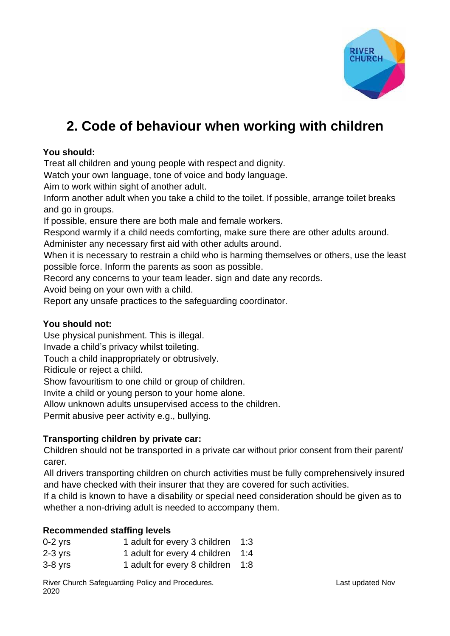

# **2. Code of behaviour when working with children**

## **You should:**

Treat all children and young people with respect and dignity.

Watch your own language, tone of voice and body language.

Aim to work within sight of another adult.

Inform another adult when you take a child to the toilet. If possible, arrange toilet breaks and go in groups.

If possible, ensure there are both male and female workers.

Respond warmly if a child needs comforting, make sure there are other adults around.

Administer any necessary first aid with other adults around.

When it is necessary to restrain a child who is harming themselves or others, use the least possible force. Inform the parents as soon as possible.

Record any concerns to your team leader. sign and date any records.

Avoid being on your own with a child.

Report any unsafe practices to the safeguarding coordinator.

## **You should not:**

Use physical punishment. This is illegal.

Invade a child's privacy whilst toileting.

Touch a child inappropriately or obtrusively.

Ridicule or reject a child.

Show favouritism to one child or group of children.

Invite a child or young person to your home alone.

Allow unknown adults unsupervised access to the children.

Permit abusive peer activity e.g., bullying.

## **Transporting children by private car:**

Children should not be transported in a private car without prior consent from their parent/ carer.

All drivers transporting children on church activities must be fully comprehensively insured and have checked with their insurer that they are covered for such activities.

If a child is known to have a disability or special need consideration should be given as to whether a non-driving adult is needed to accompany them.

## **Recommended staffing levels**

| $0-2$ yrs | 1 adult for every 3 children     | - 1:3 |
|-----------|----------------------------------|-------|
| 2-3 yrs   | 1 adult for every 4 children 1:4 |       |
| 3-8 yrs   | 1 adult for every 8 children     | 1:8   |

River Church Safeguarding Policy and Procedures. The Channel Control of Last updated Nov 2020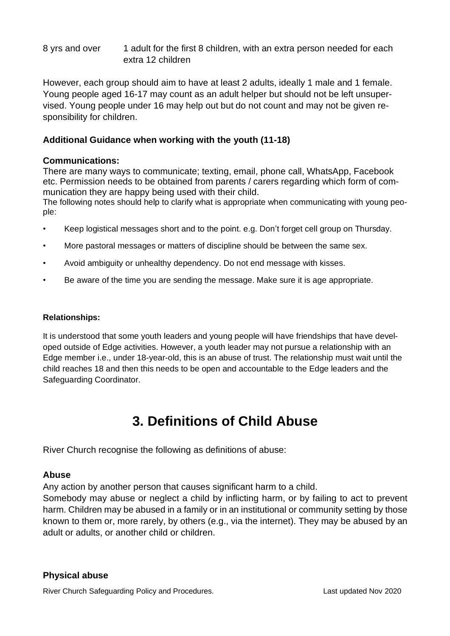8 yrs and over 1 adult for the first 8 children, with an extra person needed for each extra 12 children

However, each group should aim to have at least 2 adults, ideally 1 male and 1 female. Young people aged 16-17 may count as an adult helper but should not be left unsupervised. Young people under 16 may help out but do not count and may not be given responsibility for children.

## **Additional Guidance when working with the youth (11-18)**

## **Communications:**

There are many ways to communicate; texting, email, phone call, WhatsApp, Facebook etc. Permission needs to be obtained from parents / carers regarding which form of communication they are happy being used with their child.

The following notes should help to clarify what is appropriate when communicating with young people:

- Keep logistical messages short and to the point. e.g. Don't forget cell group on Thursday.
- More pastoral messages or matters of discipline should be between the same sex.
- Avoid ambiguity or unhealthy dependency. Do not end message with kisses.
- Be aware of the time you are sending the message. Make sure it is age appropriate.

#### **Relationships:**

It is understood that some youth leaders and young people will have friendships that have developed outside of Edge activities. However, a youth leader may not pursue a relationship with an Edge member i.e., under 18-year-old, this is an abuse of trust. The relationship must wait until the child reaches 18 and then this needs to be open and accountable to the Edge leaders and the Safeguarding Coordinator.

# **3. Definitions of Child Abuse**

River Church recognise the following as definitions of abuse:

## **Abuse**

Any action by another person that causes significant harm to a child.

Somebody may abuse or neglect a child by inflicting harm, or by failing to act to prevent harm. Children may be abused in a family or in an institutional or community setting by those known to them or, more rarely, by others (e.g., via the internet). They may be abused by an adult or adults, or another child or children.

## **Physical abuse**

River Church Safeguarding Policy and Procedures. Last updated Nov 2020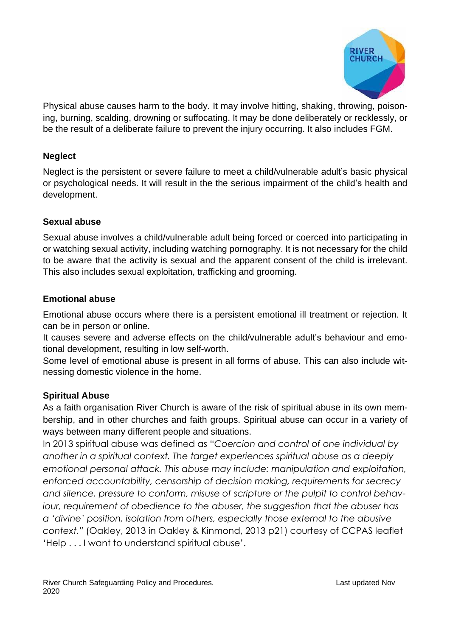

Physical abuse causes harm to the body. It may involve hitting, shaking, throwing, poisoning, burning, scalding, drowning or suffocating. It may be done deliberately or recklessly, or be the result of a deliberate failure to prevent the injury occurring. It also includes FGM.

## **Neglect**

Neglect is the persistent or severe failure to meet a child/vulnerable adult's basic physical or psychological needs. It will result in the the serious impairment of the child's health and development.

## **Sexual abuse**

Sexual abuse involves a child/vulnerable adult being forced or coerced into participating in or watching sexual activity, including watching pornography. It is not necessary for the child to be aware that the activity is sexual and the apparent consent of the child is irrelevant. This also includes sexual exploitation, trafficking and grooming.

## **Emotional abuse**

Emotional abuse occurs where there is a persistent emotional ill treatment or rejection. It can be in person or online.

It causes severe and adverse effects on the child/vulnerable adult's behaviour and emotional development, resulting in low self-worth.

Some level of emotional abuse is present in all forms of abuse. This can also include witnessing domestic violence in the home.

## **Spiritual Abuse**

As a faith organisation River Church is aware of the risk of spiritual abuse in its own membership, and in other churches and faith groups. Spiritual abuse can occur in a variety of ways between many different people and situations.

In 2013 spiritual abuse was defined as "*Coercion and control of one individual by another in a spiritual context. The target experiences spiritual abuse as a deeply emotional personal attack. This abuse may include: manipulation and exploitation, enforced accountability, censorship of decision making, requirements for secrecy and silence, pressure to conform, misuse of scripture or the pulpit to control behaviour, requirement of obedience to the abuser, the suggestion that the abuser has a 'divine' position, isolation from others, especially those external to the abusive context."* (Oakley, 2013 in Oakley & Kinmond, 2013 p21) courtesy of CCPAS leaflet 'Help . . . I want to understand spiritual abuse'.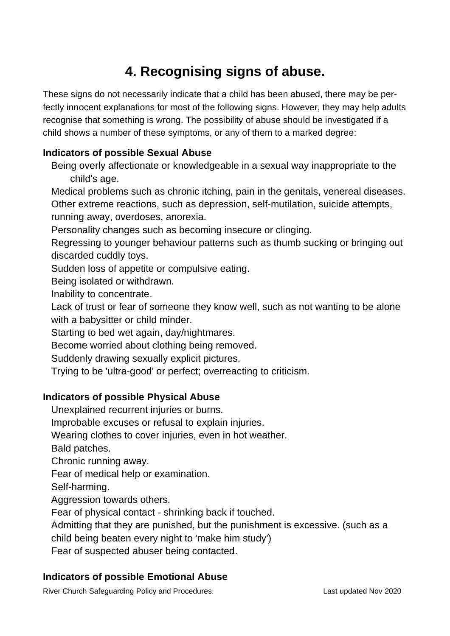# **4. Recognising signs of abuse.**

These signs do not necessarily indicate that a child has been abused, there may be perfectly innocent explanations for most of the following signs. However, they may help adults recognise that something is wrong. The possibility of abuse should be investigated if a child shows a number of these symptoms, or any of them to a marked degree:

# **Indicators of possible Sexual Abuse**

Being overly affectionate or knowledgeable in a sexual way inappropriate to the child's age.

Medical problems such as chronic itching, pain in the genitals, venereal diseases. Other extreme reactions, such as depression, self-mutilation, suicide attempts, running away, overdoses, anorexia.

Personality changes such as becoming insecure or clinging.

Regressing to younger behaviour patterns such as thumb sucking or bringing out discarded cuddly toys.

Sudden loss of appetite or compulsive eating.

Being isolated or withdrawn.

Inability to concentrate.

Lack of trust or fear of someone they know well, such as not wanting to be alone with a babysitter or child minder.

Starting to bed wet again, day/nightmares.

Become worried about clothing being removed.

Suddenly drawing sexually explicit pictures.

Trying to be 'ultra-good' or perfect; overreacting to criticism.

# **Indicators of possible Physical Abuse**

Unexplained recurrent injuries or burns.

Improbable excuses or refusal to explain injuries.

Wearing clothes to cover injuries, even in hot weather.

Bald patches.

Chronic running away.

Fear of medical help or examination.

Self-harming.

Aggression towards others.

Fear of physical contact - shrinking back if touched.

Admitting that they are punished, but the punishment is excessive. (such as a

child being beaten every night to 'make him study')

Fear of suspected abuser being contacted.

# **Indicators of possible Emotional Abuse**

River Church Safeguarding Policy and Procedures. Last updated Nov 2020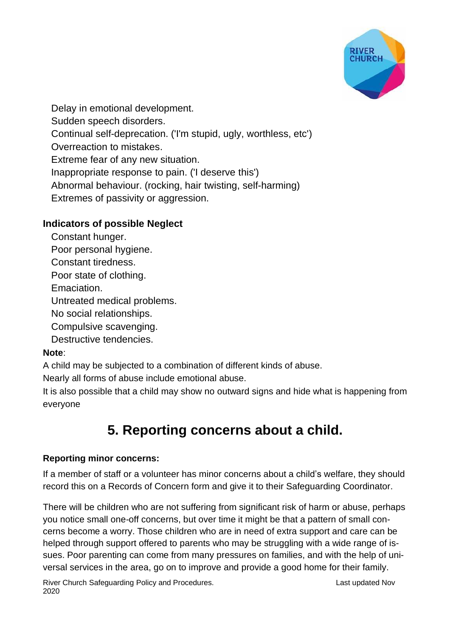

Delay in emotional development. Sudden speech disorders. Continual self-deprecation. ('I'm stupid, ugly, worthless, etc') Overreaction to mistakes. Extreme fear of any new situation. Inappropriate response to pain. ('I deserve this') Abnormal behaviour. (rocking, hair twisting, self-harming) Extremes of passivity or aggression.

# **Indicators of possible Neglect**

Constant hunger.

Poor personal hygiene.

Constant tiredness.

Poor state of clothing.

Emaciation.

Untreated medical problems.

No social relationships.

Compulsive scavenging.

Destructive tendencies.

# **Note**:

A child may be subjected to a combination of different kinds of abuse.

Nearly all forms of abuse include emotional abuse.

It is also possible that a child may show no outward signs and hide what is happening from everyone

# **5. Reporting concerns about a child.**

# **Reporting minor concerns:**

If a member of staff or a volunteer has minor concerns about a child's welfare, they should record this on a Records of Concern form and give it to their Safeguarding Coordinator.

There will be children who are not suffering from significant risk of harm or abuse, perhaps you notice small one-off concerns, but over time it might be that a pattern of small concerns become a worry. Those children who are in need of extra support and care can be helped through support offered to parents who may be struggling with a wide range of issues. Poor parenting can come from many pressures on families, and with the help of universal services in the area, go on to improve and provide a good home for their family.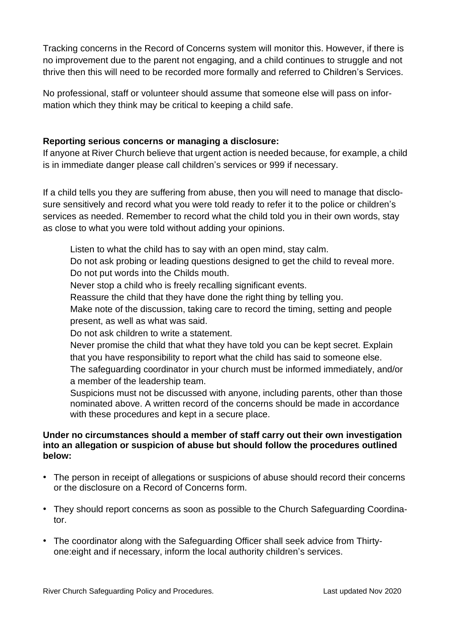Tracking concerns in the Record of Concerns system will monitor this. However, if there is no improvement due to the parent not engaging, and a child continues to struggle and not thrive then this will need to be recorded more formally and referred to Children's Services.

No professional, staff or volunteer should assume that someone else will pass on information which they think may be critical to keeping a child safe.

## **Reporting serious concerns or managing a disclosure:**

If anyone at River Church believe that urgent action is needed because, for example, a child is in immediate danger please call children's services or 999 if necessary.

If a child tells you they are suffering from abuse, then you will need to manage that disclosure sensitively and record what you were told ready to refer it to the police or children's services as needed. Remember to record what the child told you in their own words, stay as close to what you were told without adding your opinions.

Listen to what the child has to say with an open mind, stay calm.

Do not ask probing or leading questions designed to get the child to reveal more. Do not put words into the Childs mouth.

Never stop a child who is freely recalling significant events.

Reassure the child that they have done the right thing by telling you.

Make note of the discussion, taking care to record the timing, setting and people present, as well as what was said.

Do not ask children to write a statement.

Never promise the child that what they have told you can be kept secret. Explain that you have responsibility to report what the child has said to someone else.

The safeguarding coordinator in your church must be informed immediately, and/or a member of the leadership team.

Suspicions must not be discussed with anyone, including parents, other than those nominated above. A written record of the concerns should be made in accordance with these procedures and kept in a secure place.

## **Under no circumstances should a member of staff carry out their own investigation into an allegation or suspicion of abuse but should follow the procedures outlined below:**

- The person in receipt of allegations or suspicions of abuse should record their concerns or the disclosure on a Record of Concerns form.
- They should report concerns as soon as possible to the Church Safeguarding Coordinator.
- The coordinator along with the Safeguarding Officer shall seek advice from Thirtyone:eight and if necessary, inform the local authority children's services.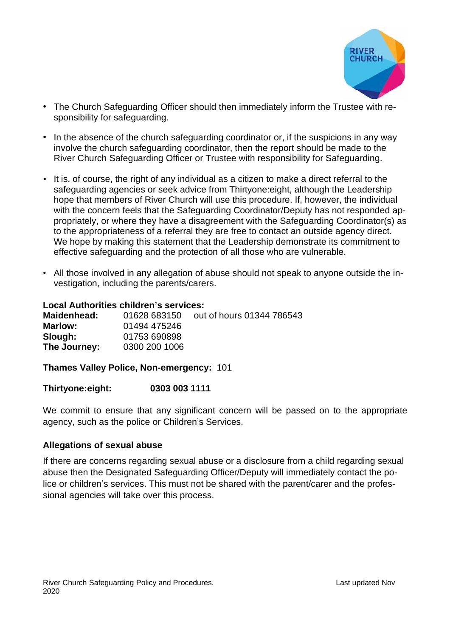

- The Church Safeguarding Officer should then immediately inform the Trustee with responsibility for safeguarding.
- In the absence of the church safeguarding coordinator or, if the suspicions in any way involve the church safeguarding coordinator, then the report should be made to the River Church Safeguarding Officer or Trustee with responsibility for Safeguarding.
- It is, of course, the right of any individual as a citizen to make a direct referral to the safeguarding agencies or seek advice from Thirtyone:eight, although the Leadership hope that members of River Church will use this procedure. If, however, the individual with the concern feels that the Safeguarding Coordinator/Deputy has not responded appropriately, or where they have a disagreement with the Safeguarding Coordinator(s) as to the appropriateness of a referral they are free to contact an outside agency direct. We hope by making this statement that the Leadership demonstrate its commitment to effective safeguarding and the protection of all those who are vulnerable.
- All those involved in any allegation of abuse should not speak to anyone outside the investigation, including the parents/carers.

### **Local Authorities children's services:**

**Maidenhead:** 01628 683150 out of hours 01344 786543 **Marlow:** 01494 475246 **Slough:** 01753 690898 **The Journey:** 0300 200 1006

**Thames Valley Police, Non-emergency:** 101

### **Thirtyone:eight: 0303 003 1111**

We commit to ensure that any significant concern will be passed on to the appropriate agency, such as the police or Children's Services.

## **Allegations of sexual abuse**

If there are concerns regarding sexual abuse or a disclosure from a child regarding sexual abuse then the Designated Safeguarding Officer/Deputy will immediately contact the police or children's services. This must not be shared with the parent/carer and the professional agencies will take over this process.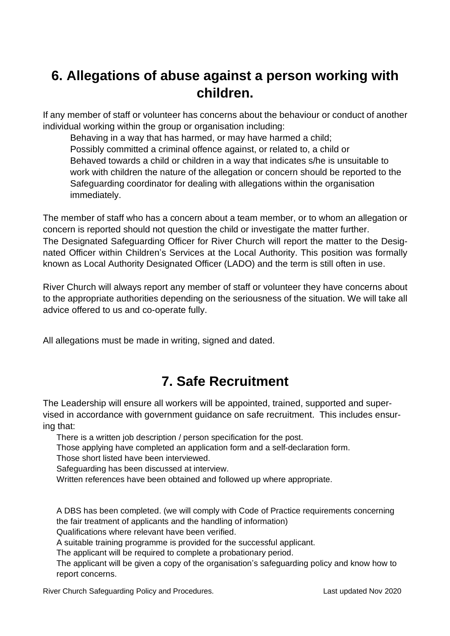# **6. Allegations of abuse against a person working with children.**

If any member of staff or volunteer has concerns about the behaviour or conduct of another individual working within the group or organisation including:

Behaving in a way that has harmed, or may have harmed a child; Possibly committed a criminal offence against, or related to, a child or Behaved towards a child or children in a way that indicates s/he is unsuitable to work with children the nature of the allegation or concern should be reported to the Safeguarding coordinator for dealing with allegations within the organisation immediately.

The member of staff who has a concern about a team member, or to whom an allegation or concern is reported should not question the child or investigate the matter further. The Designated Safeguarding Officer for River Church will report the matter to the Designated Officer within Children's Services at the Local Authority. This position was formally known as Local Authority Designated Officer (LADO) and the term is still often in use.

River Church will always report any member of staff or volunteer they have concerns about to the appropriate authorities depending on the seriousness of the situation. We will take all advice offered to us and co-operate fully.

All allegations must be made in writing, signed and dated.

# **7. Safe Recruitment**

The Leadership will ensure all workers will be appointed, trained, supported and supervised in accordance with government guidance on safe recruitment. This includes ensuring that:

There is a written job description / person specification for the post.

Those applying have completed an application form and a self-declaration form.

Those short listed have been interviewed.

Safeguarding has been discussed at interview.

Written references have been obtained and followed up where appropriate.

A DBS has been completed. (we will comply with Code of Practice requirements concerning the fair treatment of applicants and the handling of information)

Qualifications where relevant have been verified.

A suitable training programme is provided for the successful applicant.

The applicant will be required to complete a probationary period.

The applicant will be given a copy of the organisation's safeguarding policy and know how to report concerns.

River Church Safeguarding Policy and Procedures. Last updated Nov 2020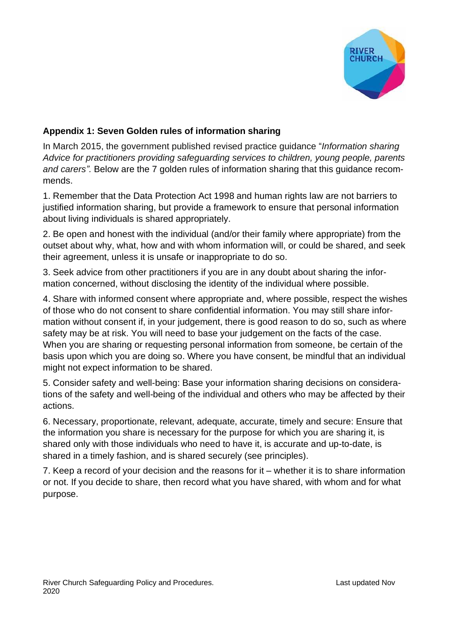

## **Appendix 1: Seven Golden rules of information sharing**

In March 2015, the government published revised practice guidance "*Information sharing Advice for practitioners providing safeguarding services to children, young people, parents and carers".* Below are the 7 golden rules of information sharing that this guidance recommends.

1. Remember that the Data Protection Act 1998 and human rights law are not barriers to justified information sharing, but provide a framework to ensure that personal information about living individuals is shared appropriately.

2. Be open and honest with the individual (and/or their family where appropriate) from the outset about why, what, how and with whom information will, or could be shared, and seek their agreement, unless it is unsafe or inappropriate to do so.

3. Seek advice from other practitioners if you are in any doubt about sharing the information concerned, without disclosing the identity of the individual where possible.

4. Share with informed consent where appropriate and, where possible, respect the wishes of those who do not consent to share confidential information. You may still share information without consent if, in your judgement, there is good reason to do so, such as where safety may be at risk. You will need to base your judgement on the facts of the case. When you are sharing or requesting personal information from someone, be certain of the basis upon which you are doing so. Where you have consent, be mindful that an individual might not expect information to be shared.

5. Consider safety and well-being: Base your information sharing decisions on considerations of the safety and well-being of the individual and others who may be affected by their actions.

6. Necessary, proportionate, relevant, adequate, accurate, timely and secure: Ensure that the information you share is necessary for the purpose for which you are sharing it, is shared only with those individuals who need to have it, is accurate and up-to-date, is shared in a timely fashion, and is shared securely (see principles).

7. Keep a record of your decision and the reasons for it – whether it is to share information or not. If you decide to share, then record what you have shared, with whom and for what purpose.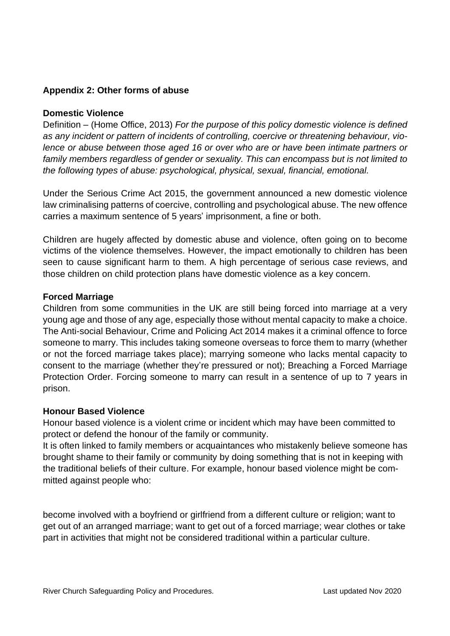## **Appendix 2: Other forms of abuse**

## **Domestic Violence**

Definition – (Home Office, 2013) *For the purpose of this policy domestic violence is defined as any incident or pattern of incidents of controlling, coercive or threatening behaviour, violence or abuse between those aged 16 or over who are or have been intimate partners or family members regardless of gender or sexuality. This can encompass but is not limited to the following types of abuse: psychological, physical, sexual, financial, emotional.*

Under the Serious Crime Act 2015, the government announced a new domestic violence law criminalising patterns of coercive, controlling and psychological abuse. The new offence carries a maximum sentence of 5 years' imprisonment, a fine or both.

Children are hugely affected by domestic abuse and violence, often going on to become victims of the violence themselves. However, the impact emotionally to children has been seen to cause significant harm to them. A high percentage of serious case reviews, and those children on child protection plans have domestic violence as a key concern.

## **Forced Marriage**

Children from some communities in the UK are still being forced into marriage at a very young age and those of any age, especially those without mental capacity to make a choice. The Anti-social Behaviour, Crime and Policing Act 2014 makes it a criminal offence to force someone to marry. This includes taking someone overseas to force them to marry (whether or not the forced marriage takes place); marrying someone who lacks mental capacity to consent to the marriage (whether they're pressured or not); Breaching a Forced Marriage Protection Order. Forcing someone to marry can result in a sentence of up to 7 years in prison.

### **Honour Based Violence**

Honour based violence is a violent crime or incident which may have been committed to protect or defend the honour of the family or community.

It is often linked to family members or acquaintances who mistakenly believe someone has brought shame to their family or community by doing something that is not in keeping with the traditional beliefs of their culture. For example, honour based violence might be committed against people who:

become involved with a boyfriend or girlfriend from a different culture or religion; want to get out of an arranged marriage; want to get out of a forced marriage; wear clothes or take part in activities that might not be considered traditional within a particular culture.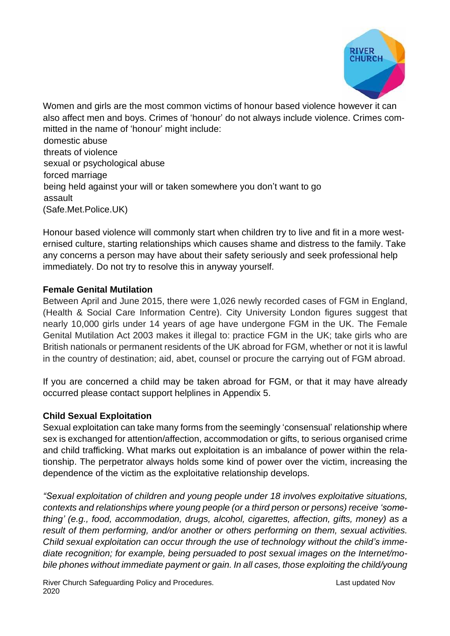

Women and girls are the most common victims of honour based violence however it can also affect men and boys. Crimes of 'honour' do not always include violence. Crimes committed in the name of 'honour' might include: domestic abuse threats of violence sexual or psychological abuse forced marriage being held against your will or taken somewhere you don't want to go assault (Safe.Met.Police.UK)

Honour based violence will commonly start when children try to live and fit in a more westernised culture, starting relationships which causes shame and distress to the family. Take any concerns a person may have about their safety seriously and seek professional help immediately. Do not try to resolve this in anyway yourself.

## **Female Genital Mutilation**

Between April and June 2015, there were 1,026 newly recorded cases of FGM in England, (Health & Social Care Information Centre). City University London figures suggest that nearly 10,000 girls under 14 years of age have undergone FGM in the UK. The Female Genital Mutilation Act 2003 makes it illegal to: practice FGM in the UK; take girls who are British nationals or permanent residents of the UK abroad for FGM, whether or not it is lawful in the country of destination; aid, abet, counsel or procure the carrying out of FGM abroad.

If you are concerned a child may be taken abroad for FGM, or that it may have already occurred please contact support helplines in Appendix 5.

## **Child Sexual Exploitation**

Sexual exploitation can take many forms from the seemingly 'consensual' relationship where sex is exchanged for attention/affection, accommodation or gifts, to serious organised crime and child trafficking. What marks out exploitation is an imbalance of power within the relationship. The perpetrator always holds some kind of power over the victim, increasing the dependence of the victim as the exploitative relationship develops.

*"Sexual exploitation of children and young people under 18 involves exploitative situations, contexts and relationships where young people (or a third person or persons) receive 'something' (e.g., food, accommodation, drugs, alcohol, cigarettes, affection, gifts, money) as a result of them performing, and/or another or others performing on them, sexual activities. Child sexual exploitation can occur through the use of technology without the child's immediate recognition; for example, being persuaded to post sexual images on the Internet/mobile phones without immediate payment or gain. In all cases, those exploiting the child/young*